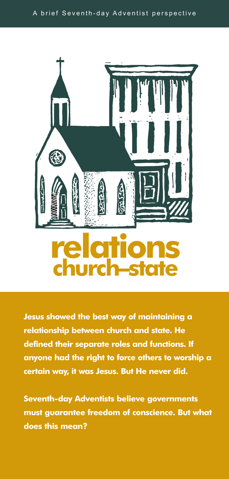

**Jesus showed the best way of maintaining a relationship between church and state. He defined their separate roles and functions. If anyone had the right to force others to worship a certain way, it was Jesus. But He never did.**

**Seventh-day Adventists believe governments must guarantee freedom of conscience. But what does this mean?**